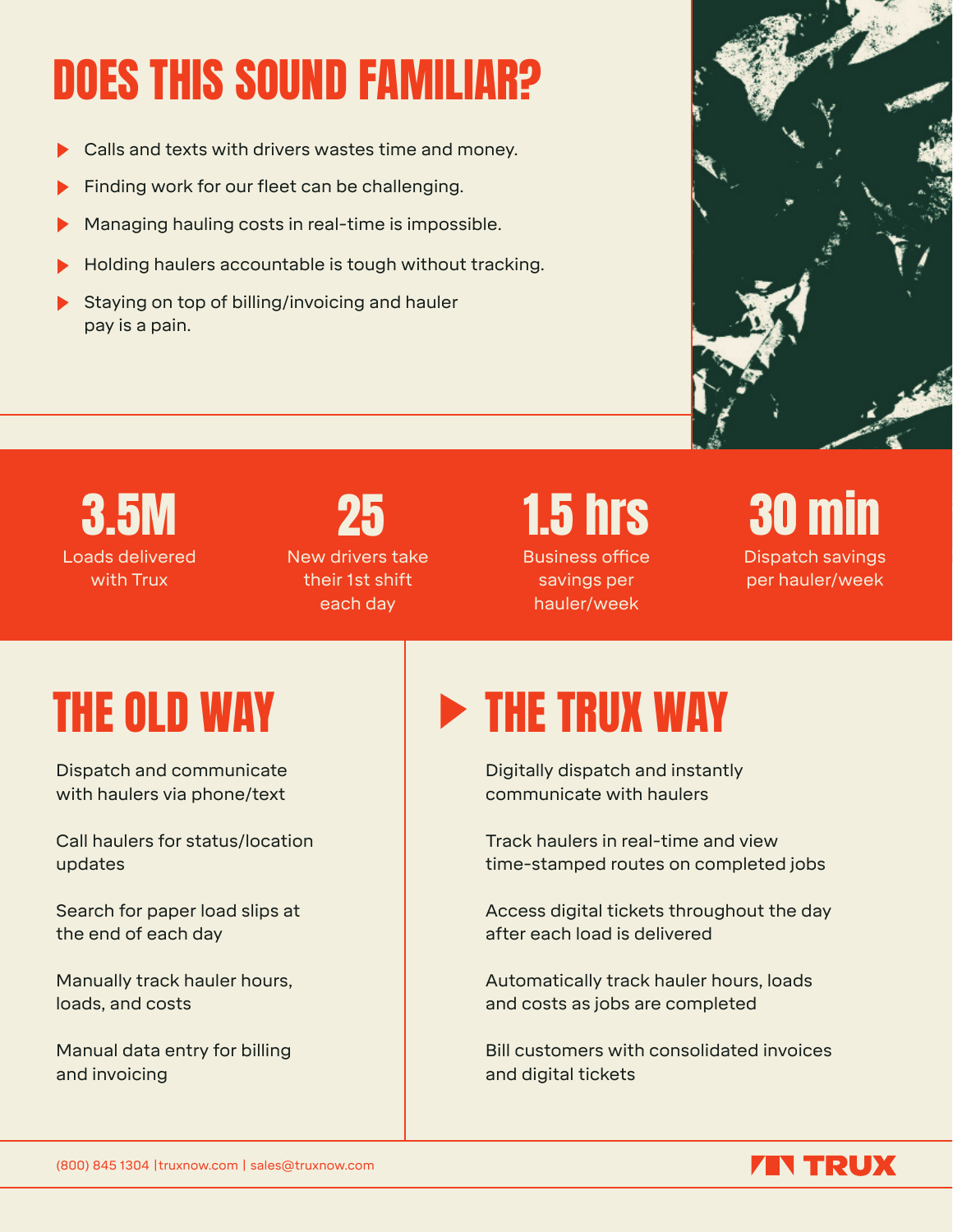# DOES THIS SOUND FAMILIAR?

- Calls and texts with drivers wastes time and money.
- Finding work for our fleet can be challenging.
- Managing hauling costs in real-time is impossible.
- Holding haulers accountable is tough without tracking.
- Staying on top of billing/invoicing and hauler pay is a pain.



#### Loads delivered with Trux 3.5M

## 25

New drivers take their 1st shift each day

### 1.5 hrs

Business office savings per hauler/week



Dispatch and communicate with haulers via phone/text

Call haulers for status/location updates

Search for paper load slips at the end of each day

Manually track hauler hours, loads, and costs

Manual data entry for billing and invoicing

## THE OLD WAY **EXAMPLE THE TRUX WAY**

Digitally dispatch and instantly communicate with haulers

Track haulers in real-time and view time-stamped routes on completed jobs

Access digital tickets throughout the day after each load is delivered

Automatically track hauler hours, loads and costs as jobs are completed

Bill customers with consolidated invoices and digital tickets